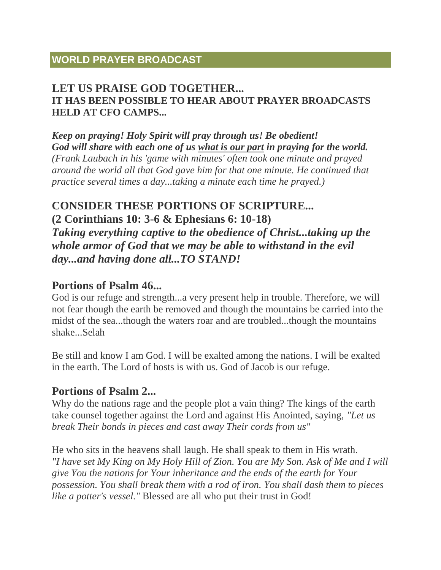# **WORLD PRAYER BROADCAST**

### **LET US PRAISE GOD TOGETHER... IT HAS BEEN POSSIBLE TO HEAR ABOUT PRAYER BROADCASTS HELD AT CFO CAMPS...**

*Keep on praying! Holy Spirit will pray through us! Be obedient! God will share with each one of us what is our part in praying for the world. (Frank Laubach in his 'game with minutes' often took one minute and prayed around the world all that God gave him for that one minute. He continued that practice several times a day...taking a minute each time he prayed.)*

### **CONSIDER THESE PORTIONS OF SCRIPTURE...**

**(2 Corinthians 10: 3-6 & Ephesians 6: 10-18)**

*Taking everything captive to the obedience of Christ...taking up the whole armor of God that we may be able to withstand in the evil day...and having done all...TO STAND!*

### **Portions of Psalm 46...**

God is our refuge and strength...a very present help in trouble. Therefore, we will not fear though the earth be removed and though the mountains be carried into the midst of the sea...though the waters roar and are troubled...though the mountains shake...Selah

Be still and know I am God. I will be exalted among the nations. I will be exalted in the earth. The Lord of hosts is with us. God of Jacob is our refuge.

# **Portions of Psalm 2...**

Why do the nations rage and the people plot a vain thing? The kings of the earth take counsel together against the Lord and against His Anointed, saying, *"Let us break Their bonds in pieces and cast away Their cords from us"*

He who sits in the heavens shall laugh. He shall speak to them in His wrath. *"I have set My King on My Holy Hill of Zion. You are My Son. Ask of Me and I will give You the nations for Your inheritance and the ends of the earth for Your possession. You shall break them with a rod of iron. You shall dash them to pieces like a potter's vessel."* Blessed are all who put their trust in God!